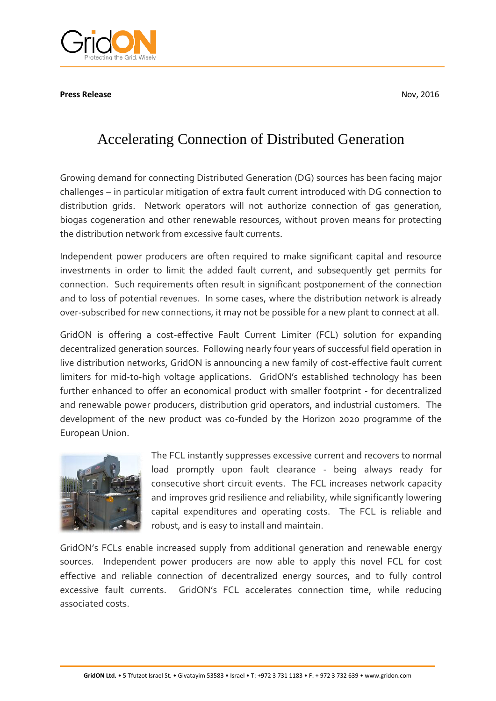**Press Release** Nov, 2016



## Accelerating Connection of Distributed Generation

Growing demand for connecting Distributed Generation (DG) sources has been facing major challenges – in particular mitigation of extra fault current introduced with DG connection to distribution grids. Network operators will not authorize connection of gas generation, biogas cogeneration and other renewable resources, without proven means for protecting the distribution network from excessive fault currents.

Independent power producers are often required to make significant capital and resource investments in order to limit the added fault current, and subsequently get permits for connection. Such requirements often result in significant postponement of the connection and to loss of potential revenues. In some cases, where the distribution network is already over-subscribed for new connections, it may not be possible for a new plant to connect at all.

GridON is offering a cost-effective Fault Current Limiter (FCL) solution for expanding decentralized generation sources. Following nearly four years of successful field operation in live distribution networks, GridON is announcing a new family of cost-effective fault current limiters for mid-to-high voltage applications. GridON's established technology has been further enhanced to offer an economical product with smaller footprint - for decentralized and renewable power producers, distribution grid operators, and industrial customers. The development of the new product was co-funded by the Horizon 2020 programme of the European Union.



The FCL instantly suppresses excessive current and recovers to normal load promptly upon fault clearance - being always ready for consecutive short circuit events. The FCL increases network capacity and improves grid resilience and reliability, while significantly lowering capital expenditures and operating costs. The FCL is reliable and robust, and is easy to install and maintain.

GridON's FCLs enable increased supply from additional generation and renewable energy sources. Independent power producers are now able to apply this novel FCL for cost effective and reliable connection of decentralized energy sources, and to fully control excessive fault currents. GridON's FCL accelerates connection time, while reducing associated costs.